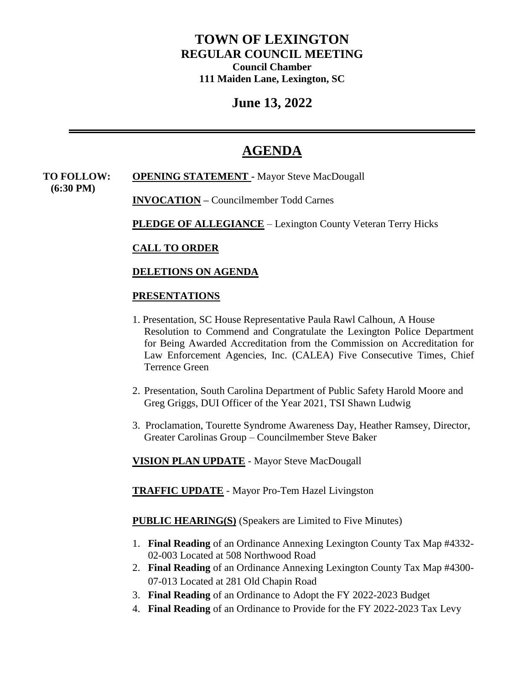# **TOWN OF LEXINGTON REGULAR COUNCIL MEETING Council Chamber 111 Maiden Lane, Lexington, SC**

# **June 13, 2022**

# **AGENDA**

**TO FOLLOW: OPENING STATEMENT -** Mayor Steve MacDougall  **(6:30 PM) INVOCATION –** Councilmember Todd Carnes

**PLEDGE OF ALLEGIANCE** – Lexington County Veteran Terry Hicks

## **CALL TO ORDER**

## **DELETIONS ON AGENDA**

#### **PRESENTATIONS**

- 1. Presentation, SC House Representative Paula Rawl Calhoun, A House Resolution to Commend and Congratulate the Lexington Police Department for Being Awarded Accreditation from the Commission on Accreditation for Law Enforcement Agencies, Inc. (CALEA) Five Consecutive Times, Chief Terrence Green
- 2. Presentation, South Carolina Department of Public Safety Harold Moore and Greg Griggs, DUI Officer of the Year 2021, TSI Shawn Ludwig
- 3. Proclamation, Tourette Syndrome Awareness Day, Heather Ramsey, Director, Greater Carolinas Group – Councilmember Steve Baker

**VISION PLAN UPDATE** - Mayor Steve MacDougall

**TRAFFIC UPDATE** - Mayor Pro-Tem Hazel Livingston

**PUBLIC HEARING(S)** (Speakers are Limited to Five Minutes)

- 1. **Final Reading** of an Ordinance Annexing Lexington County Tax Map #4332- 02-003 Located at 508 Northwood Road
- 2. **Final Reading** of an Ordinance Annexing Lexington County Tax Map #4300- 07-013 Located at 281 Old Chapin Road
- 3. **Final Reading** of an Ordinance to Adopt the FY 2022-2023 Budget
- 4. **Final Reading** of an Ordinance to Provide for the FY 2022-2023 Tax Levy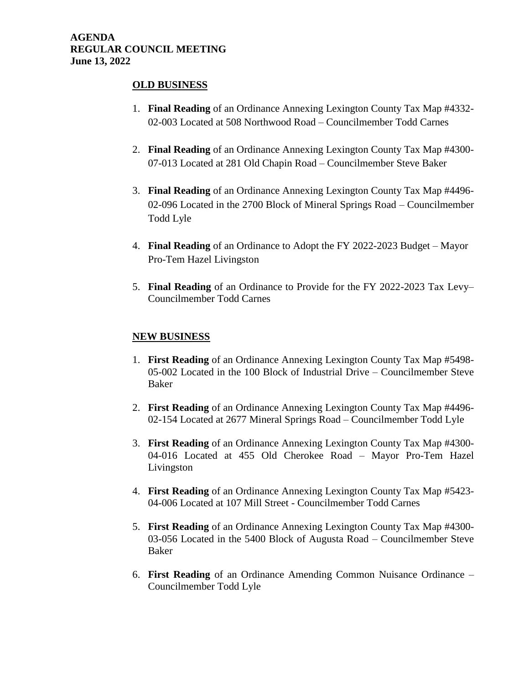#### **AGENDA REGULAR COUNCIL MEETING June 13, 2022**

#### **OLD BUSINESS**

- 1. **Final Reading** of an Ordinance Annexing Lexington County Tax Map #4332- 02-003 Located at 508 Northwood Road – Councilmember Todd Carnes
- 2. **Final Reading** of an Ordinance Annexing Lexington County Tax Map #4300- 07-013 Located at 281 Old Chapin Road – Councilmember Steve Baker
- 3. **Final Reading** of an Ordinance Annexing Lexington County Tax Map #4496- 02-096 Located in the 2700 Block of Mineral Springs Road – Councilmember Todd Lyle
- 4. **Final Reading** of an Ordinance to Adopt the FY 2022-2023 Budget Mayor Pro-Tem Hazel Livingston
- 5. **Final Reading** of an Ordinance to Provide for the FY 2022-2023 Tax Levy– Councilmember Todd Carnes

#### **NEW BUSINESS**

- 1. **First Reading** of an Ordinance Annexing Lexington County Tax Map #5498- 05-002 Located in the 100 Block of Industrial Drive – Councilmember Steve Baker
- 2. **First Reading** of an Ordinance Annexing Lexington County Tax Map #4496- 02-154 Located at 2677 Mineral Springs Road – Councilmember Todd Lyle
- 3. **First Reading** of an Ordinance Annexing Lexington County Tax Map #4300- 04-016 Located at 455 Old Cherokee Road – Mayor Pro-Tem Hazel Livingston
- 4. **First Reading** of an Ordinance Annexing Lexington County Tax Map #5423- 04-006 Located at 107 Mill Street - Councilmember Todd Carnes
- 5. **First Reading** of an Ordinance Annexing Lexington County Tax Map #4300- 03-056 Located in the 5400 Block of Augusta Road – Councilmember Steve Baker
- 6. **First Reading** of an Ordinance Amending Common Nuisance Ordinance Councilmember Todd Lyle